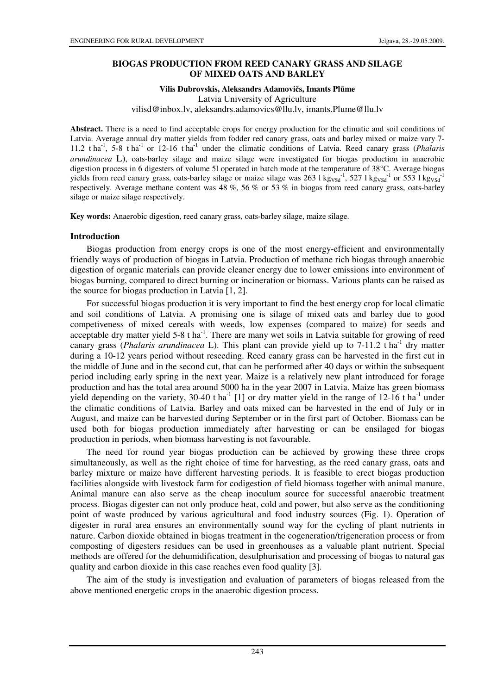### **BIOGAS PRODUCTION FROM REED CANARY GRASS AND SILAGE OF MIXED OATS AND BARLEY**

# **Vilis Dubrovskis, Aleksandrs Adamovi**č**s, Imants Pl**ū**me**

Latvia University of Agriculture

vilisd@inbox.lv, aleksandrs.adamovics@llu.lv, imants.Plume@llu.lv

**Abstract.** There is a need to find acceptable crops for energy production for the climatic and soil conditions of Latvia. Average annual dry matter yields from fodder red canary grass, oats and barley mixed or maize vary 7- 11.2 t ha-1, 5-8 t ha-1 or 12-16 t ha-1 under the climatic conditions of Latvia. Reed canary grass (*Phalaris arundinacea* L), oats-barley silage and maize silage were investigated for biogas production in anaerobic digestion process in 6 digesters of volume 5l operated in batch mode at the temperature of 38°C. Average biogas yields from reed canary grass, oats-barley silage or maize silage was  $263 \log_{\rm X}^{-1}$ , 527 l kg<sub>VSd</sub><sup>-1</sup> or 553 l kg<sub>VSd</sub><sup>-1</sup> respectively. Average methane content was 48 %, 56 % or 53 % in biogas from reed canary grass, oats-barley silage or maize silage respectively.

**Key words:** Anaerobic digestion, reed canary grass, oats-barley silage, maize silage.

#### **Introduction**

Biogas production from energy crops is one of the most energy-efficient and environmentally friendly ways of production of biogas in Latvia. Production of methane rich biogas through anaerobic digestion of organic materials can provide cleaner energy due to lower emissions into environment of biogas burning, compared to direct burning or incineration or biomass. Various plants can be raised as the source for biogas production in Latvia [1, 2].

For successful biogas production it is very important to find the best energy crop for local climatic and soil conditions of Latvia. A promising one is silage of mixed oats and barley due to good competiveness of mixed cereals with weeds, low expenses (compared to maize) for seeds and acceptable dry matter yield  $5-8$  t ha<sup>-1</sup>. There are many wet soils in Latvia suitable for growing of reed canary grass (*Phalaris arundinacea* L). This plant can provide yield up to 7-11.2 t ha<sup>-1</sup> dry matter during a 10-12 years period without reseeding. Reed canary grass can be harvested in the first cut in the middle of June and in the second cut, that can be performed after 40 days or within the subsequent period including early spring in the next year. Maize is a relatively new plant introduced for forage production and has the total area around 5000 ha in the year 2007 in Latvia. Maize has green biomass yield depending on the variety, 30-40 t ha<sup>-1</sup> [1] or dry matter yield in the range of  $12\text{-}16$  t ha<sup>-1</sup> under the climatic conditions of Latvia. Barley and oats mixed can be harvested in the end of July or in August, and maize can be harvested during September or in the first part of October. Biomass can be used both for biogas production immediately after harvesting or can be ensilaged for biogas production in periods, when biomass harvesting is not favourable.

The need for round year biogas production can be achieved by growing these three crops simultaneously, as well as the right choice of time for harvesting, as the reed canary grass, oats and barley mixture or maize have different harvesting periods. It is feasible to erect biogas production facilities alongside with livestock farm for codigestion of field biomass together with animal manure. Animal manure can also serve as the cheap inoculum source for successful anaerobic treatment process. Biogas digester can not only produce heat, cold and power, but also serve as the conditioning point of waste produced by various agricultural and food industry sources (Fig. 1). Operation of digester in rural area ensures an environmentally sound way for the cycling of plant nutrients in nature. Carbon dioxide obtained in biogas treatment in the cogeneration/trigeneration process or from composting of digesters residues can be used in greenhouses as a valuable plant nutrient. Special methods are offered for the dehumidification, desulphurisation and processing of biogas to natural gas quality and carbon dioxide in this case reaches even food quality [3].

The aim of the study is investigation and evaluation of parameters of biogas released from the above mentioned energetic crops in the anaerobic digestion process.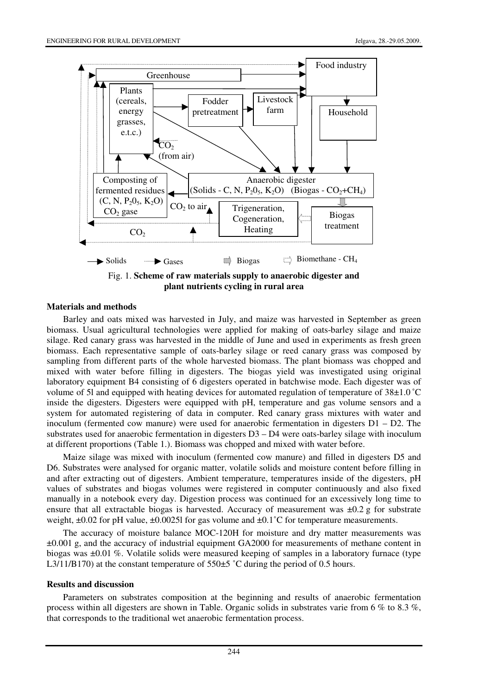

#### **Materials and methods**

Barley and oats mixed was harvested in July, and maize was harvested in September as green biomass. Usual agricultural technologies were applied for making of oats-barley silage and maize silage. Red canary grass was harvested in the middle of June and used in experiments as fresh green biomass. Each representative sample of oats-barley silage or reed canary grass was composed by sampling from different parts of the whole harvested biomass. The plant biomass was chopped and mixed with water before filling in digesters. The biogas yield was investigated using original laboratory equipment B4 consisting of 6 digesters operated in batchwise mode. Each digester was of volume of 5l and equipped with heating devices for automated regulation of temperature of 38±1.0 ˚C inside the digesters. Digesters were equipped with pH, temperature and gas volume sensors and a system for automated registering of data in computer. Red canary grass mixtures with water and inoculum (fermented cow manure) were used for anaerobic fermentation in digesters D1 – D2. The substrates used for anaerobic fermentation in digesters D3 – D4 were oats-barley silage with inoculum at different proportions (Table 1.). Biomass was chopped and mixed with water before.

Maize silage was mixed with inoculum (fermented cow manure) and filled in digesters D5 and D6. Substrates were analysed for organic matter, volatile solids and moisture content before filling in and after extracting out of digesters. Ambient temperature, temperatures inside of the digesters, pH values of substrates and biogas volumes were registered in computer continuously and also fixed manually in a notebook every day. Digestion process was continued for an excessively long time to ensure that all extractable biogas is harvested. Accuracy of measurement was  $\pm 0.2$  g for substrate weight,  $\pm 0.02$  for pH value,  $\pm 0.00251$  for gas volume and  $\pm 0.1$ °C for temperature measurements.

The accuracy of moisture balance MOC-120H for moisture and dry matter measurements was ±0.001 g, and the accuracy of industrial equipment GA2000 for measurements of methane content in biogas was ±0.01 %. Volatile solids were measured keeping of samples in a laboratory furnace (type L3/11/B170) at the constant temperature of 550 $\pm$ 5 °C during the period of 0.5 hours.

#### **Results and discussion**

Parameters on substrates composition at the beginning and results of anaerobic fermentation process within all digesters are shown in Table. Organic solids in substrates varie from 6 % to 8.3 %, that corresponds to the traditional wet anaerobic fermentation process.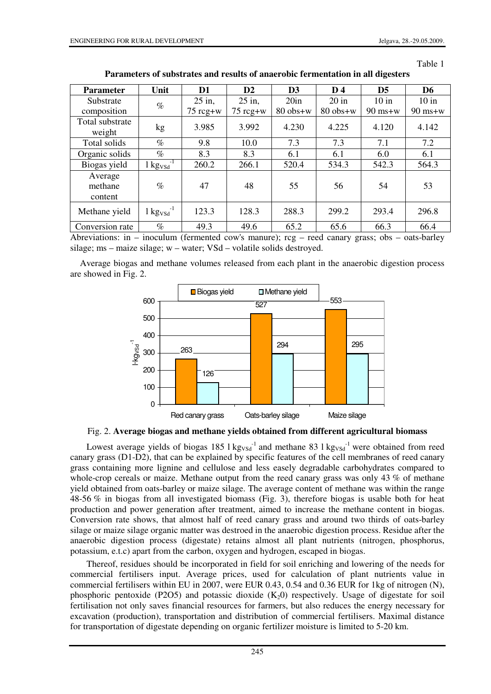Table 1

| <b>Parameter</b>              | Unit                                       | D1                 | $\mathbf{D2}$      | D <sub>3</sub> | D <sub>4</sub> | D <sub>5</sub> | D <sub>6</sub> |
|-------------------------------|--------------------------------------------|--------------------|--------------------|----------------|----------------|----------------|----------------|
| Substrate                     | $\%$                                       | $25$ in,           | $25$ in,           | 20in           | $20$ in        | $10$ in        | $10$ in        |
| composition                   |                                            | $75 \text{ reg+w}$ | $75 \text{ reg+w}$ | $80$ obs+w     | $80$ obs+w     | $90$ ms+w      | $90$ ms+w      |
| Total substrate<br>weight     | kg                                         | 3.985              | 3.992              | 4.230          | 4.225          | 4.120          | 4.142          |
| Total solids                  | $\%$                                       | 9.8                | 10.0               | 7.3            | 7.3            | 7.1            | 7.2            |
| Organic solids                | $\%$                                       | 8.3                | 8.3                | 6.1            | 6.1            | 6.0            | 6.1            |
| Biogas yield                  | $1 \text{kg}$ <sub>VSd</sub> <sup>-1</sup> | 260.2              | 266.1              | 520.4          | 534.3          | 542.3          | 564.3          |
| Average<br>methane<br>content | $\%$                                       | 47                 | 48                 | 55             | 56             | 54             | 53             |
| Methane yield                 | $1 \text{kg}$ <sub>VSd</sub> <sup>-1</sup> | 123.3              | 128.3              | 288.3          | 299.2          | 293.4          | 296.8          |
| Conversion rate               | $\%$                                       | 49.3               | 49.6               | 65.2           | 65.6           | 66.3           | 66.4           |

**Parameters of substrates and results of anaerobic fermentation in all digesters** 

Abreviations: in – inoculum (fermented cow's manure); rcg – reed canary grass; obs – oats-barley silage; ms – maize silage; w – water; VSd – volatile solids destroyed.

Average biogas and methane volumes released from each plant in the anaerobic digestion process are showed in Fig. 2.



Fig. 2. **Average biogas and methane yields obtained from different agricultural biomass** 

Lowest average yields of biogas 185  $1 \text{kg}_{\text{VSd}}$ <sup>-1</sup> and methane 83  $1 \text{kg}_{\text{VSd}}$ <sup>-1</sup> were obtained from reed canary grass (D1-D2), that can be explained by specific features of the cell membranes of reed canary grass containing more lignine and cellulose and less easely degradable carbohydrates compared to whole-crop cereals or maize. Methane output from the reed canary grass was only 43 % of methane yield obtained from oats-barley or maize silage. The average content of methane was within the range 48-56 % in biogas from all investigated biomass (Fig. 3), therefore biogas is usable both for heat production and power generation after treatment, aimed to increase the methane content in biogas. Conversion rate shows, that almost half of reed canary grass and around two thirds of oats-barley silage or maize silage organic matter was destroed in the anaerobic digestion process. Residue after the anaerobic digestion process (digestate) retains almost all plant nutrients (nitrogen, phosphorus, potassium, e.t.c) apart from the carbon, oxygen and hydrogen, escaped in biogas.

Thereof, residues should be incorporated in field for soil enriching and lowering of the needs for commercial fertilisers input. Average prices, used for calculation of plant nutrients value in commercial fertilisers within EU in 2007, were EUR 0.43, 0.54 and 0.36 EUR for 1kg of nitrogen (N), phosphoric pentoxide (P2O5) and potassic dioxide  $(K_2 0)$  respectively. Usage of digestate for soil fertilisation not only saves financial resources for farmers, but also reduces the energy necessary for excavation (production), transportation and distribution of commercial fertilisers. Maximal distance for transportation of digestate depending on organic fertilizer moisture is limited to 5-20 km.